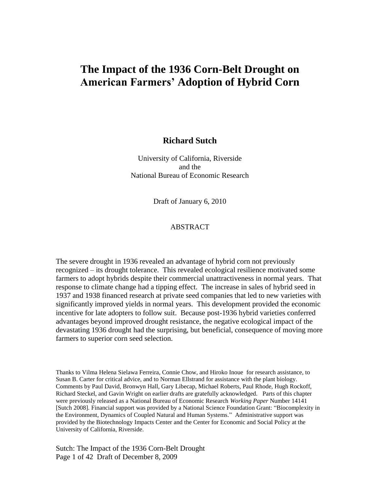# **The Impact of the 1936 Corn-Belt Drought on American Farmers' Adoption of Hybrid Corn**

#### **Richard Sutch**

University of California, Riverside and the National Bureau of Economic Research

Draft of January 6, 2010

#### ABSTRACT

The severe drought in 1936 revealed an advantage of hybrid corn not previously recognized – its drought tolerance. This revealed ecological resilience motivated some farmers to adopt hybrids despite their commercial unattractiveness in normal years. That response to climate change had a tipping effect. The increase in sales of hybrid seed in 1937 and 1938 financed research at private seed companies that led to new varieties with significantly improved yields in normal years. This development provided the economic incentive for late adopters to follow suit. Because post-1936 hybrid varieties conferred advantages beyond improved drought resistance, the negative ecological impact of the devastating 1936 drought had the surprising, but beneficial, consequence of moving more farmers to superior corn seed selection.

Thanks to Vilma Helena Sielawa Ferreira, Connie Chow, and Hiroko Inoue for research assistance, to Susan B. Carter for critical advice, and to Norman Ellstrand for assistance with the plant biology. Comments by Paul David, Bronwyn Hall, Gary Libecap, Michael Roberts, Paul Rhode, Hugh Rockoff, Richard Steckel, and Gavin Wright on earlier drafts are gratefully acknowledged. Parts of this chapter were previously released as a National Bureau of Economic Research *Working Paper* Number 14141 [Sutch 2008]. Financial support was provided by a National Science Foundation Grant: "Biocomplexity in the Environment, Dynamics of Coupled Natural and Human Systems.‖ Administrative support was provided by the Biotechnology Impacts Center and the Center for Economic and Social Policy at the University of California, Riverside.

Sutch: The Impact of the 1936 Corn-Belt Drought Page 1 of 42 Draft of December 8, 2009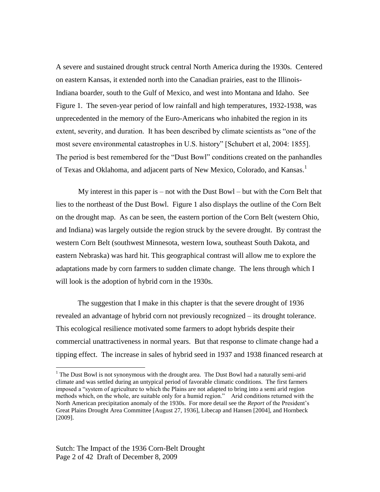A severe and sustained drought struck central North America during the 1930s. Centered on eastern Kansas, it extended north into the Canadian prairies, east to the Illinois-Indiana boarder, south to the Gulf of Mexico, and west into Montana and Idaho. See Figure 1. The seven-year period of low rainfall and high temperatures, 1932-1938, was unprecedented in the memory of the Euro-Americans who inhabited the region in its extent, severity, and duration. It has been described by climate scientists as "one of the most severe environmental catastrophes in U.S. history" [Schubert et al, 2004: 1855]. The period is best remembered for the "Dust Bowl" conditions created on the panhandles of Texas and Oklahoma, and adjacent parts of New Mexico, Colorado, and Kansas.<sup>1</sup>

My interest in this paper is – not with the Dust Bowl – but with the Corn Belt that lies to the northeast of the Dust Bowl. Figure 1 also displays the outline of the Corn Belt on the drought map. As can be seen, the eastern portion of the Corn Belt (western Ohio, and Indiana) was largely outside the region struck by the severe drought. By contrast the western Corn Belt (southwest Minnesota, western Iowa, southeast South Dakota, and eastern Nebraska) was hard hit. This geographical contrast will allow me to explore the adaptations made by corn farmers to sudden climate change. The lens through which I will look is the adoption of hybrid corn in the 1930s.

The suggestion that I make in this chapter is that the severe drought of 1936 revealed an advantage of hybrid corn not previously recognized – its drought tolerance. This ecological resilience motivated some farmers to adopt hybrids despite their commercial unattractiveness in normal years. But that response to climate change had a tipping effect. The increase in sales of hybrid seed in 1937 and 1938 financed research at

<sup>&</sup>lt;sup>1</sup> The Dust Bowl is not synonymous with the drought area. The Dust Bowl had a naturally semi-arid climate and was settled during an untypical period of favorable climatic conditions. The first farmers imposed a "system of agriculture to which the Plains are not adapted to bring into a semi arid region methods which, on the whole, are suitable only for a humid region." Arid conditions returned with the North American precipitation anomaly of the 1930s. For more detail see the *Report* of the President's Great Plains Drought Area Committee [August 27, 1936], Libecap and Hansen [2004], and Hornbeck [2009].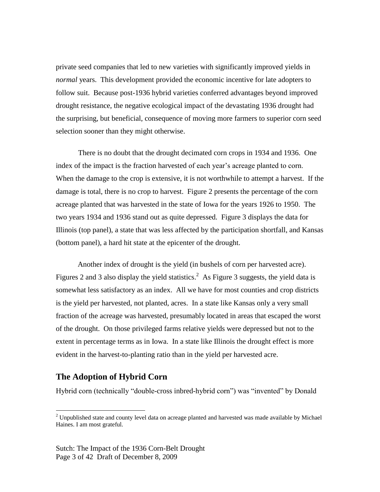private seed companies that led to new varieties with significantly improved yields in *normal* years. This development provided the economic incentive for late adopters to follow suit. Because post-1936 hybrid varieties conferred advantages beyond improved drought resistance, the negative ecological impact of the devastating 1936 drought had the surprising, but beneficial, consequence of moving more farmers to superior corn seed selection sooner than they might otherwise.

There is no doubt that the drought decimated corn crops in 1934 and 1936. One index of the impact is the fraction harvested of each year's acreage planted to corn. When the damage to the crop is extensive, it is not worthwhile to attempt a harvest. If the damage is total, there is no crop to harvest. Figure 2 presents the percentage of the corn acreage planted that was harvested in the state of Iowa for the years 1926 to 1950. The two years 1934 and 1936 stand out as quite depressed. Figure 3 displays the data for Illinois (top panel), a state that was less affected by the participation shortfall, and Kansas (bottom panel), a hard hit state at the epicenter of the drought.

Another index of drought is the yield (in bushels of corn per harvested acre). Figures 2 and 3 also display the yield statistics.<sup>2</sup> As Figure 3 suggests, the yield data is somewhat less satisfactory as an index. All we have for most counties and crop districts is the yield per harvested, not planted, acres. In a state like Kansas only a very small fraction of the acreage was harvested, presumably located in areas that escaped the worst of the drought. On those privileged farms relative yields were depressed but not to the extent in percentage terms as in Iowa. In a state like Illinois the drought effect is more evident in the harvest-to-planting ratio than in the yield per harvested acre.

### **The Adoption of Hybrid Corn**

 $\overline{a}$ 

Hybrid corn (technically "double-cross inbred-hybrid corn") was "invented" by Donald

<sup>&</sup>lt;sup>2</sup> Unpublished state and county level data on acreage planted and harvested was made available by Michael Haines. I am most grateful.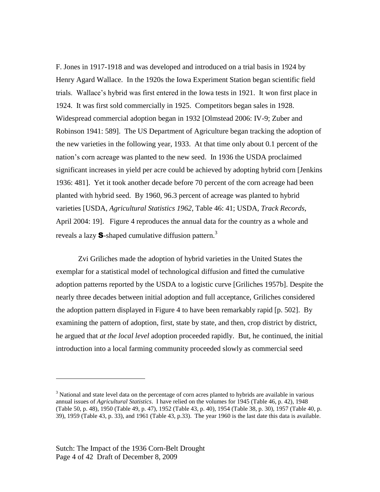F. Jones in 1917-1918 and was developed and introduced on a trial basis in 1924 by Henry Agard Wallace. In the 1920s the Iowa Experiment Station began scientific field trials. Wallace's hybrid was first entered in the Iowa tests in 1921. It won first place in 1924. It was first sold commercially in 1925. Competitors began sales in 1928. Widespread commercial adoption began in 1932 [Olmstead 2006: IV-9; Zuber and Robinson 1941: 589]. The US Department of Agriculture began tracking the adoption of the new varieties in the following year, 1933. At that time only about 0.1 percent of the nation's corn acreage was planted to the new seed. In 1936 the USDA proclaimed significant increases in yield per acre could be achieved by adopting hybrid corn [Jenkins 1936: 481]. Yet it took another decade before 70 percent of the corn acreage had been planted with hybrid seed. By 1960, 96.3 percent of acreage was planted to hybrid varieties [USDA, *Agricultural Statistics 1962*, Table 46: 41; USDA, *Track Records*, April 2004: 19]. Figure 4 reproduces the annual data for the country as a whole and reveals a lazy **S**-shaped cumulative diffusion pattern.<sup>3</sup>

Zvi Griliches made the adoption of hybrid varieties in the United States the exemplar for a statistical model of technological diffusion and fitted the cumulative adoption patterns reported by the USDA to a logistic curve [Griliches 1957b]. Despite the nearly three decades between initial adoption and full acceptance, Griliches considered the adoption pattern displayed in Figure 4 to have been remarkably rapid [p. 502]. By examining the pattern of adoption, first, state by state, and then, crop district by district, he argued that *at the local level* adoption proceeded rapidly. But, he continued, the initial introduction into a local farming community proceeded slowly as commercial seed

 $3$  National and state level data on the percentage of corn acres planted to hybrids are available in various annual issues of *Agricultural Statistics*. I have relied on the volumes for 1945 (Table 46, p. 42), 1948 (Table 50, p. 48), 1950 (Table 49, p. 47), 1952 (Table 43, p. 40), 1954 (Table 38, p. 30), 1957 (Table 40, p. 39), 1959 (Table 43, p. 33), and 1961 (Table 43, p.33). The year 1960 is the last date this data is available.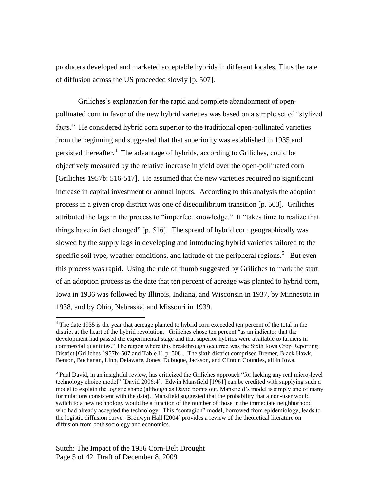producers developed and marketed acceptable hybrids in different locales. Thus the rate of diffusion across the US proceeded slowly [p. 507].

Griliches's explanation for the rapid and complete abandonment of openpollinated corn in favor of the new hybrid varieties was based on a simple set of "stylized" facts." He considered hybrid corn superior to the traditional open-pollinated varieties from the beginning and suggested that that superiority was established in 1935 and persisted thereafter.<sup>4</sup> The advantage of hybrids, according to Griliches, could be objectively measured by the relative increase in yield over the open-pollinated corn [Griliches 1957b: 516-517]. He assumed that the new varieties required no significant increase in capital investment or annual inputs. According to this analysis the adoption process in a given crop district was one of disequilibrium transition [p. 503]. Griliches attributed the lags in the process to "imperfect knowledge." It "takes time to realize that things have in fact changed" [p. 516]. The spread of hybrid corn geographically was slowed by the supply lags in developing and introducing hybrid varieties tailored to the specific soil type, weather conditions, and latitude of the peripheral regions.<sup>5</sup> But even this process was rapid. Using the rule of thumb suggested by Griliches to mark the start of an adoption process as the date that ten percent of acreage was planted to hybrid corn, Iowa in 1936 was followed by Illinois, Indiana, and Wisconsin in 1937, by Minnesota in 1938, and by Ohio, Nebraska, and Missouri in 1939.

<sup>&</sup>lt;sup>4</sup> The date 1935 is the year that acreage planted to hybrid corn exceeded ten percent of the total in the district at the heart of the hybrid revolution. Griliches chose ten percent "as an indicator that the development had passed the experimental stage and that superior hybrids were available to farmers in commercial quantities." The region where this breakthrough occurred was the Sixth Iowa Crop Reporting District [Griliches 1957b: 507 and Table II, p. 508]. The sixth district comprised Bremer, Black Hawk, Benton, Buchanan, Linn, Delaware, Jones, Dubuque, Jackson, and Clinton Counties, all in Iowa.

<sup>&</sup>lt;sup>5</sup> Paul David, in an insightful review, has criticized the Griliches approach "for lacking any real micro-level technology choice model" [David 2006:4]. Edwin Mansfield [1961] can be credited with supplying such a model to explain the logistic shape (although as David points out, Mansfield's model is simply one of many formulations consistent with the data). Mansfield suggested that the probability that a non-user would switch to a new technology would be a function of the number of those in the immediate neighborhood who had already accepted the technology. This "contagion" model, borrowed from epidemiology, leads to the logistic diffusion curve. Bronwyn Hall [2004] provides a review of the theoretical literature on diffusion from both sociology and economics.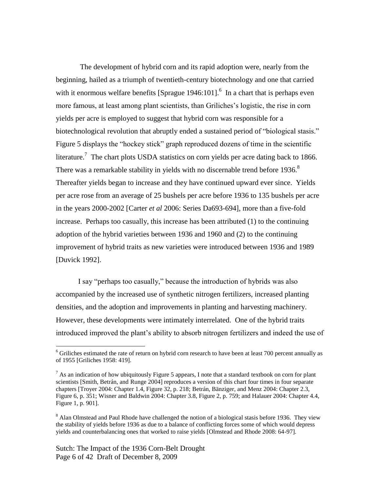The development of hybrid corn and its rapid adoption were, nearly from the beginning, hailed as a triumph of twentieth-century biotechnology and one that carried with it enormous welfare benefits [Sprague  $1946:101$ ].<sup>6</sup> In a chart that is perhaps even more famous, at least among plant scientists, than Griliches's logistic, the rise in corn yields per acre is employed to suggest that hybrid corn was responsible for a biotechnological revolution that abruptly ended a sustained period of "biological stasis." Figure 5 displays the "hockey stick" graph reproduced dozens of time in the scientific literature.<sup>7</sup> The chart plots USDA statistics on corn yields per acre dating back to 1866. There was a remarkable stability in yields with no discernable trend before 1936.<sup>8</sup> Thereafter yields began to increase and they have continued upward ever since. Yields per acre rose from an average of 25 bushels per acre before 1936 to 135 bushels per acre in the years 2000-2002 [Carter *et al* 2006: Series Da693-694], more than a five-fold increase. Perhaps too casually, this increase has been attributed (1) to the continuing adoption of the hybrid varieties between 1936 and 1960 and (2) to the continuing improvement of hybrid traits as new varieties were introduced between 1936 and 1989 [Duvick 1992].

I say "perhaps too casually," because the introduction of hybrids was also accompanied by the increased use of synthetic nitrogen fertilizers, increased planting densities, and the adoption and improvements in planting and harvesting machinery. However, these developments were intimately interrelated. One of the hybrid traits introduced improved the plant's ability to absorb nitrogen fertilizers and indeed the use of

<sup>&</sup>lt;sup>6</sup> Griliches estimated the rate of return on hybrid corn research to have been at least 700 percent annually as of 1955 [Griliches 1958: 419].

 $<sup>7</sup>$  As an indication of how ubiquitously Figure 5 appears, I note that a standard textbook on corn for plant</sup> scientists [Smith, Betrán, and Runge 2004] reproduces a version of this chart four times in four separate chapters [Troyer 2004: Chapter 1.4, Figure 32, p. 218; Betrán, Bänziger, and Menz 2004: Chapter 2.3, Figure 6, p. 351; Wisner and Baldwin 2004: Chapter 3.8, Figure 2, p. 759; and Halauer 2004: Chapter 4.4, Figure 1, p. 901].

<sup>&</sup>lt;sup>8</sup> Alan Olmstead and Paul Rhode have challenged the notion of a biological stasis before 1936. They view the stability of yields before 1936 as due to a balance of conflicting forces some of which would depress yields and counterbalancing ones that worked to raise yields [Olmstead and Rhode 2008: 64-97].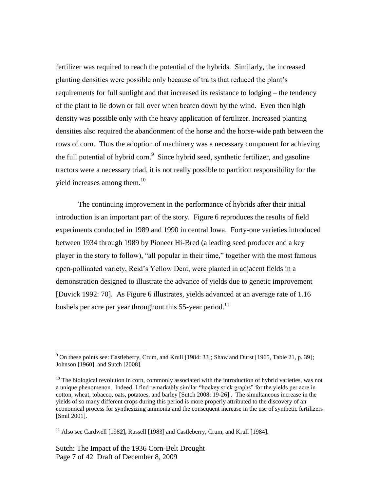fertilizer was required to reach the potential of the hybrids. Similarly, the increased planting densities were possible only because of traits that reduced the plant's requirements for full sunlight and that increased its resistance to lodging – the tendency of the plant to lie down or fall over when beaten down by the wind. Even then high density was possible only with the heavy application of fertilizer. Increased planting densities also required the abandonment of the horse and the horse-wide path between the rows of corn. Thus the adoption of machinery was a necessary component for achieving the full potential of hybrid corn.<sup>9</sup> Since hybrid seed, synthetic fertilizer, and gasoline tractors were a necessary triad, it is not really possible to partition responsibility for the yield increases among them. $10<sup>10</sup>$ 

The continuing improvement in the performance of hybrids after their initial introduction is an important part of the story. Figure 6 reproduces the results of field experiments conducted in 1989 and 1990 in central Iowa. Forty-one varieties introduced between 1934 through 1989 by Pioneer Hi-Bred (a leading seed producer and a key player in the story to follow), "all popular in their time," together with the most famous open-pollinated variety, Reid's Yellow Dent, were planted in adjacent fields in a demonstration designed to illustrate the advance of yields due to genetic improvement [Duvick 1992: 70]. As Figure 6 illustrates, yields advanced at an average rate of 1.16 bushels per acre per year throughout this  $55$ -year period.<sup>11</sup>

Sutch: The Impact of the 1936 Corn-Belt Drought Page 7 of 42 Draft of December 8, 2009

 $9^9$  On these points see: Castleberry, Crum, and Krull [1984: 33]; Shaw and Durst [1965, Table 21, p. 39]; Johnson [1960], and Sutch [2008].

<sup>&</sup>lt;sup>10</sup> The biological revolution in corn, commonly associated with the introduction of hybrid varieties, was not a unique phenomenon. Indeed, I find remarkably similar "hockey stick graphs" for the yields per acre in cotton, wheat, tobacco, oats, potatoes, and barley [Sutch 2008: 19-26] . The simultaneous increase in the yields of so many different crops during this period is more properly attributed to the discovery of an economical process for synthesizing ammonia and the consequent increase in the use of synthetic fertilizers [Smil 2001].

<sup>11</sup> Also see Cardwell [198**2],** Russell [1983] and Castleberry, Crum, and Krull [1984].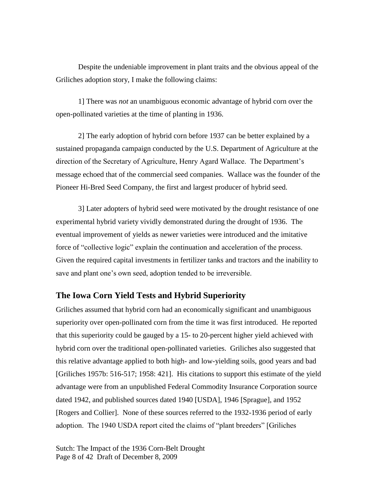Despite the undeniable improvement in plant traits and the obvious appeal of the Griliches adoption story, I make the following claims:

1] There was *not* an unambiguous economic advantage of hybrid corn over the open-pollinated varieties at the time of planting in 1936.

2] The early adoption of hybrid corn before 1937 can be better explained by a sustained propaganda campaign conducted by the U.S. Department of Agriculture at the direction of the Secretary of Agriculture, Henry Agard Wallace. The Department's message echoed that of the commercial seed companies. Wallace was the founder of the Pioneer Hi-Bred Seed Company, the first and largest producer of hybrid seed.

3] Later adopters of hybrid seed were motivated by the drought resistance of one experimental hybrid variety vividly demonstrated during the drought of 1936. The eventual improvement of yields as newer varieties were introduced and the imitative force of "collective logic" explain the continuation and acceleration of the process. Given the required capital investments in fertilizer tanks and tractors and the inability to save and plant one's own seed, adoption tended to be irreversible.

### **The Iowa Corn Yield Tests and Hybrid Superiority**

Griliches assumed that hybrid corn had an economically significant and unambiguous superiority over open-pollinated corn from the time it was first introduced. He reported that this superiority could be gauged by a 15- to 20-percent higher yield achieved with hybrid corn over the traditional open-pollinated varieties. Griliches also suggested that this relative advantage applied to both high- and low-yielding soils, good years and bad [Griliches 1957b: 516-517; 1958: 421]. His citations to support this estimate of the yield advantage were from an unpublished Federal Commodity Insurance Corporation source dated 1942, and published sources dated 1940 [USDA], 1946 [Sprague], and 1952 [Rogers and Collier]. None of these sources referred to the 1932-1936 period of early adoption. The 1940 USDA report cited the claims of "plant breeders" [Griliches

Sutch: The Impact of the 1936 Corn-Belt Drought Page 8 of 42 Draft of December 8, 2009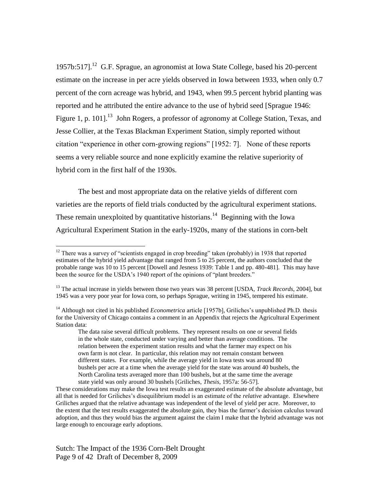1957b:517].<sup>12</sup> G.F. Sprague, an agronomist at Iowa State College, based his 20-percent estimate on the increase in per acre yields observed in Iowa between 1933, when only 0.7 percent of the corn acreage was hybrid, and 1943, when 99.5 percent hybrid planting was reported and he attributed the entire advance to the use of hybrid seed [Sprague 1946: Figure 1, p. 101].<sup>13</sup> John Rogers, a professor of agronomy at College Station, Texas, and Jesse Collier, at the Texas Blackman Experiment Station, simply reported without citation "experience in other corn-growing regions" [1952: 7]. None of these reports seems a very reliable source and none explicitly examine the relative superiority of hybrid corn in the first half of the 1930s.

The best and most appropriate data on the relative yields of different corn varieties are the reports of field trials conducted by the agricultural experiment stations. These remain unexploited by quantitative historians.<sup>14</sup> Beginning with the Iowa Agricultural Experiment Station in the early-1920s, many of the stations in corn-belt

 $12$  There was a survey of "scientists engaged in crop breeding" taken (probably) in 1938 that reported estimates of the hybrid yield advantage that ranged from 5 to 25 percent, the authors concluded that the probable range was 10 to 15 percent [Dowell and Jesness 1939: Table 1 and pp. 480-481]. This may have been the source for the USDA's 1940 report of the opinions of "plant breeders."

<sup>&</sup>lt;sup>13</sup> The actual increase in yields between those two years was 38 percent [USDA, *Track Records*, 2004], but 1945 was a very poor year for Iowa corn, so perhaps Sprague, writing in 1945, tempered his estimate.

<sup>14</sup> Although not cited in his published *Econometrica* article [1957b], Griliches's unpublished Ph.D. thesis for the University of Chicago contains a comment in an Appendix that rejects the Agricultural Experiment Station data:

The data raise several difficult problems. They represent results on one or several fields in the whole state, conducted under varying and better than average conditions. The relation between the experiment station results and what the farmer may expect on his own farm is not clear. In particular, this relation may not remain constant between different states. For example, while the average yield in Iowa tests was around 80 bushels per acre at a time when the average yield for the state was around 40 bushels, the North Carolina tests averaged more than 100 bushels, but at the same time the average state yield was only around 30 bushels [Griliches, *Thesis*, 1957a: 56-57].

These considerations may make the Iowa test results an exaggerated estimate of the absolute advantage, but all that is needed for Griliches's disequilibrium model is an estimate of the *relative* advantage. Elsewhere Griliches argued that the relative advantage was independent of the level of yield per acre. Moreover, to the extent that the test results exaggerated the absolute gain, they bias the farmer's decision calculus toward adoption, and thus they would bias the argument against the claim I make that the hybrid advantage was not large enough to encourage early adoptions.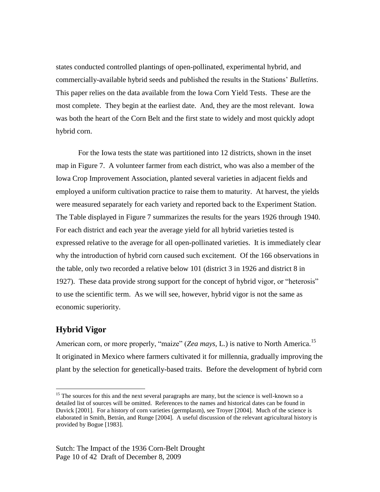states conducted controlled plantings of open-pollinated, experimental hybrid, and commercially-available hybrid seeds and published the results in the Stations' *Bulletins*. This paper relies on the data available from the Iowa Corn Yield Tests. These are the most complete. They begin at the earliest date. And, they are the most relevant. Iowa was both the heart of the Corn Belt and the first state to widely and most quickly adopt hybrid corn.

For the Iowa tests the state was partitioned into 12 districts, shown in the inset map in Figure 7. A volunteer farmer from each district, who was also a member of the Iowa Crop Improvement Association, planted several varieties in adjacent fields and employed a uniform cultivation practice to raise them to maturity. At harvest, the yields were measured separately for each variety and reported back to the Experiment Station. The Table displayed in Figure 7 summarizes the results for the years 1926 through 1940. For each district and each year the average yield for all hybrid varieties tested is expressed relative to the average for all open-pollinated varieties. It is immediately clear why the introduction of hybrid corn caused such excitement. Of the 166 observations in the table, only two recorded a relative below 101 (district 3 in 1926 and district 8 in 1927). These data provide strong support for the concept of hybrid vigor, or "heterosis" to use the scientific term. As we will see, however, hybrid vigor is not the same as economic superiority.

### **Hybrid Vigor**

 $\overline{a}$ 

American corn, or more properly, "maize" (*Zea mays*, L.) is native to North America.<sup>15</sup> It originated in Mexico where farmers cultivated it for millennia, gradually improving the plant by the selection for genetically-based traits. Before the development of hybrid corn

 $15$  The sources for this and the next several paragraphs are many, but the science is well-known so a detailed list of sources will be omitted. References to the names and historical dates can be found in Duvick [2001]. For a history of corn varieties (germplasm), see Troyer [2004]. Much of the science is elaborated in Smith, Betrán, and Runge [2004]. A useful discussion of the relevant agricultural history is provided by Bogue [1983].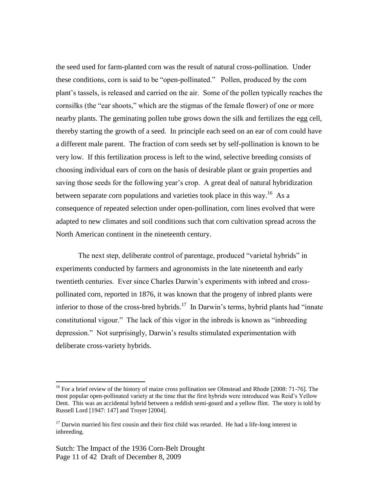the seed used for farm-planted corn was the result of natural cross-pollination. Under these conditions, corn is said to be "open-pollinated." Pollen, produced by the corn plant's tassels, is released and carried on the air. Some of the pollen typically reaches the cornsilks (the "ear shoots," which are the stigmas of the female flower) of one or more nearby plants. The geminating pollen tube grows down the silk and fertilizes the egg cell, thereby starting the growth of a seed. In principle each seed on an ear of corn could have a different male parent. The fraction of corn seeds set by self-pollination is known to be very low. If this fertilization process is left to the wind, selective breeding consists of choosing individual ears of corn on the basis of desirable plant or grain properties and saving those seeds for the following year's crop. A great deal of natural hybridization between separate corn populations and varieties took place in this way.<sup>16</sup> As a consequence of repeated selection under open-pollination, corn lines evolved that were adapted to new climates and soil conditions such that corn cultivation spread across the North American continent in the nineteenth century.

The next step, deliberate control of parentage, produced "varietal hybrids" in experiments conducted by farmers and agronomists in the late nineteenth and early twentieth centuries. Ever since Charles Darwin's experiments with inbred and crosspollinated corn, reported in 1876, it was known that the progeny of inbred plants were inferior to those of the cross-bred hybrids.<sup>17</sup> In Darwin's terms, hybrid plants had "innate" constitutional vigour." The lack of this vigor in the inbreds is known as "inbreeding" depression." Not surprisingly, Darwin's results stimulated experimentation with deliberate cross-variety hybrids.

<sup>&</sup>lt;sup>16</sup> For a brief review of the history of maize cross pollination see Olmstead and Rhode [2008: 71-76]. The most popular open-pollinated variety at the time that the first hybrids were introduced was Reid's Yellow Dent. This was an accidental hybrid between a reddish semi-gourd and a yellow flint. The story is told by Russell Lord [1947: 147] and Troyer [2004].

 $17$  Darwin married his first cousin and their first child was retarded. He had a life-long interest in inbreeding.

Sutch: The Impact of the 1936 Corn-Belt Drought Page 11 of 42 Draft of December 8, 2009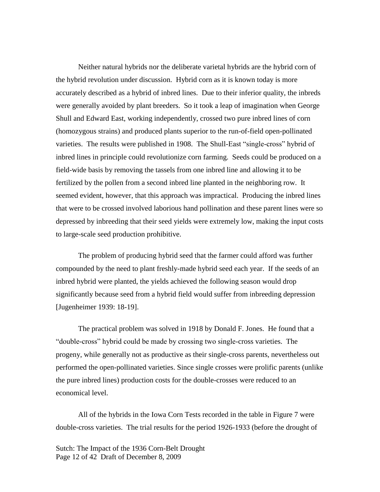Neither natural hybrids nor the deliberate varietal hybrids are the hybrid corn of the hybrid revolution under discussion. Hybrid corn as it is known today is more accurately described as a hybrid of inbred lines. Due to their inferior quality, the inbreds were generally avoided by plant breeders. So it took a leap of imagination when George Shull and Edward East, working independently, crossed two pure inbred lines of corn (homozygous strains) and produced plants superior to the run-of-field open-pollinated varieties. The results were published in 1908. The Shull-East "single-cross" hybrid of inbred lines in principle could revolutionize corn farming. Seeds could be produced on a field-wide basis by removing the tassels from one inbred line and allowing it to be fertilized by the pollen from a second inbred line planted in the neighboring row. It seemed evident, however, that this approach was impractical. Producing the inbred lines that were to be crossed involved laborious hand pollination and these parent lines were so depressed by inbreeding that their seed yields were extremely low, making the input costs to large-scale seed production prohibitive.

The problem of producing hybrid seed that the farmer could afford was further compounded by the need to plant freshly-made hybrid seed each year. If the seeds of an inbred hybrid were planted, the yields achieved the following season would drop significantly because seed from a hybrid field would suffer from inbreeding depression [Jugenheimer 1939: 18-19].

The practical problem was solved in 1918 by Donald F. Jones. He found that a "double-cross" hybrid could be made by crossing two single-cross varieties. The progeny, while generally not as productive as their single-cross parents, nevertheless out performed the open-pollinated varieties. Since single crosses were prolific parents (unlike the pure inbred lines) production costs for the double-crosses were reduced to an economical level.

All of the hybrids in the Iowa Corn Tests recorded in the table in Figure 7 were double-cross varieties. The trial results for the period 1926-1933 (before the drought of

Sutch: The Impact of the 1936 Corn-Belt Drought Page 12 of 42 Draft of December 8, 2009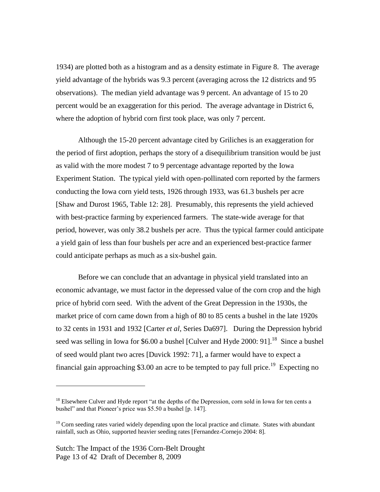1934) are plotted both as a histogram and as a density estimate in Figure 8. The average yield advantage of the hybrids was 9.3 percent (averaging across the 12 districts and 95 observations). The median yield advantage was 9 percent. An advantage of 15 to 20 percent would be an exaggeration for this period. The average advantage in District 6, where the adoption of hybrid corn first took place, was only 7 percent.

Although the 15-20 percent advantage cited by Griliches is an exaggeration for the period of first adoption, perhaps the story of a disequilibrium transition would be just as valid with the more modest 7 to 9 percentage advantage reported by the Iowa Experiment Station. The typical yield with open-pollinated corn reported by the farmers conducting the Iowa corn yield tests, 1926 through 1933, was 61.3 bushels per acre [Shaw and Durost 1965, Table 12: 28]. Presumably, this represents the yield achieved with best-practice farming by experienced farmers. The state-wide average for that period, however, was only 38.2 bushels per acre. Thus the typical farmer could anticipate a yield gain of less than four bushels per acre and an experienced best-practice farmer could anticipate perhaps as much as a six-bushel gain.

Before we can conclude that an advantage in physical yield translated into an economic advantage, we must factor in the depressed value of the corn crop and the high price of hybrid corn seed. With the advent of the Great Depression in the 1930s, the market price of corn came down from a high of 80 to 85 cents a bushel in the late 1920s to 32 cents in 1931 and 1932 [Carter *et al*, Series Da697]. During the Depression hybrid seed was selling in Iowa for \$6.00 a bushel [Culver and Hyde 2000: 91].<sup>18</sup> Since a bushel of seed would plant two acres [Duvick 1992: 71], a farmer would have to expect a financial gain approaching \$3.00 an acre to be tempted to pay full price.<sup>19</sup> Expecting no

<sup>&</sup>lt;sup>18</sup> Elsewhere Culver and Hyde report "at the depths of the Depression, corn sold in Iowa for ten cents a bushel" and that Pioneer's price was \$5.50 a bushel [p. 147].

 $19$  Corn seeding rates varied widely depending upon the local practice and climate. States with abundant rainfall, such as Ohio, supported heavier seeding rates [Fernandez-Cornejo 2004: 8].

Sutch: The Impact of the 1936 Corn-Belt Drought Page 13 of 42 Draft of December 8, 2009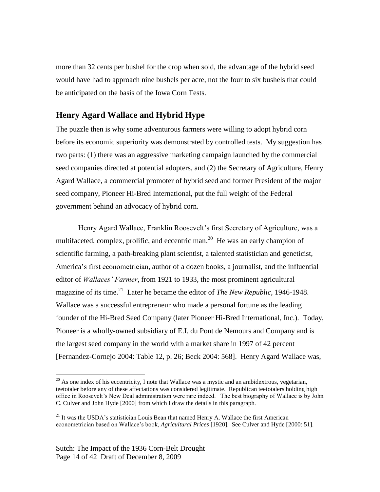more than 32 cents per bushel for the crop when sold, the advantage of the hybrid seed would have had to approach nine bushels per acre, not the four to six bushels that could be anticipated on the basis of the Iowa Corn Tests.

### **Henry Agard Wallace and Hybrid Hype**

The puzzle then is why some adventurous farmers were willing to adopt hybrid corn before its economic superiority was demonstrated by controlled tests. My suggestion has two parts: (1) there was an aggressive marketing campaign launched by the commercial seed companies directed at potential adopters, and (2) the Secretary of Agriculture, Henry Agard Wallace, a commercial promoter of hybrid seed and former President of the major seed company, Pioneer Hi-Bred International, put the full weight of the Federal government behind an advocacy of hybrid corn.

Henry Agard Wallace, Franklin Roosevelt's first Secretary of Agriculture, was a multifaceted, complex, prolific, and eccentric man.<sup>20</sup> He was an early champion of scientific farming, a path-breaking plant scientist, a talented statistician and geneticist, America's first econometrician, author of a dozen books, a journalist, and the influential editor of *Wallaces' Farmer*, from 1921 to 1933, the most prominent agricultural magazine of its time.<sup>21</sup> Later he became the editor of *The New Republic*, 1946-1948. Wallace was a successful entrepreneur who made a personal fortune as the leading founder of the Hi-Bred Seed Company (later Pioneer Hi-Bred International, Inc.). Today, Pioneer is a wholly-owned subsidiary of E.I. du Pont de Nemours and Company and is the largest seed company in the world with a market share in 1997 of 42 percent [Fernandez-Cornejo 2004: Table 12, p. 26; Beck 2004: 568]. Henry Agard Wallace was,

 $^{20}$  As one index of his eccentricity, I note that Wallace was a mystic and an ambidextrous, vegetarian, teetotaler before any of these affectations was considered legitimate. Republican teetotalers holding high office in Roosevelt's New Deal administration were rare indeed. The best biography of Wallace is by John C. Culver and John Hyde [2000] from which I draw the details in this paragraph.

 $2<sup>1</sup>$  It was the USDA's statistician Louis Bean that named Henry A. Wallace the first American econometrician based on Wallace's book, *Agricultural Prices* [1920]. See Culver and Hyde [2000: 51].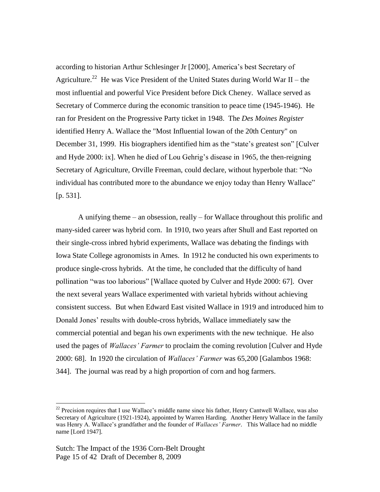according to historian Arthur Schlesinger Jr [2000], America's best Secretary of Agriculture.<sup>22</sup> He was Vice President of the United States during World War II – the most influential and powerful Vice President before Dick Cheney. Wallace served as Secretary of Commerce during the economic transition to peace time (1945-1946). He ran for President on the Progressive Party ticket in 1948. The *Des Moines Register* identified Henry A. Wallace the "Most Influential Iowan of the 20th Century" on December 31, 1999. His biographers identified him as the "state's greatest son" [Culver and Hyde 2000: ix]. When he died of Lou Gehrig's disease in 1965, the then-reigning Secretary of Agriculture, Orville Freeman, could declare, without hyperbole that: "No individual has contributed more to the abundance we enjoy today than Henry Wallace" [p. 531].

A unifying theme – an obsession, really – for Wallace throughout this prolific and many-sided career was hybrid corn. In 1910, two years after Shull and East reported on their single-cross inbred hybrid experiments, Wallace was debating the findings with Iowa State College agronomists in Ames. In 1912 he conducted his own experiments to produce single-cross hybrids. At the time, he concluded that the difficulty of hand pollination "was too laborious" [Wallace quoted by Culver and Hyde 2000: 67]. Over the next several years Wallace experimented with varietal hybrids without achieving consistent success. But when Edward East visited Wallace in 1919 and introduced him to Donald Jones' results with double-cross hybrids, Wallace immediately saw the commercial potential and began his own experiments with the new technique. He also used the pages of *Wallaces' Farmer* to proclaim the coming revolution [Culver and Hyde 2000: 68]. In 1920 the circulation of *Wallaces' Farmer* was 65,200 [Galambos 1968: 344]. The journal was read by a high proportion of corn and hog farmers.

 $22$  Precision requires that I use Wallace's middle name since his father, Henry Cantwell Wallace, was also Secretary of Agriculture (1921-1924), appointed by Warren Harding. Another Henry Wallace in the family was Henry A. Wallace's grandfather and the founder of *Wallaces' Farmer*. This Wallace had no middle name [Lord 1947].

Sutch: The Impact of the 1936 Corn-Belt Drought Page 15 of 42 Draft of December 8, 2009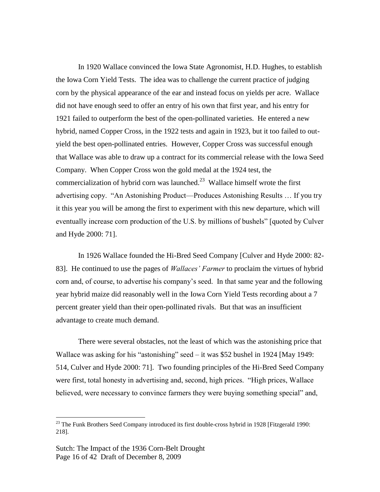In 1920 Wallace convinced the Iowa State Agronomist, H.D. Hughes, to establish the Iowa Corn Yield Tests. The idea was to challenge the current practice of judging corn by the physical appearance of the ear and instead focus on yields per acre. Wallace did not have enough seed to offer an entry of his own that first year, and his entry for 1921 failed to outperform the best of the open-pollinated varieties. He entered a new hybrid, named Copper Cross, in the 1922 tests and again in 1923, but it too failed to outyield the best open-pollinated entries. However, Copper Cross was successful enough that Wallace was able to draw up a contract for its commercial release with the Iowa Seed Company. When Copper Cross won the gold medal at the 1924 test, the commercialization of hybrid corn was launched.<sup>23</sup> Wallace himself wrote the first advertising copy. "An Astonishing Product—Produces Astonishing Results ... If you try it this year you will be among the first to experiment with this new departure, which will eventually increase corn production of the U.S. by millions of bushels" [quoted by Culver and Hyde 2000: 71].

In 1926 Wallace founded the Hi-Bred Seed Company [Culver and Hyde 2000: 82- 83]. He continued to use the pages of *Wallaces' Farmer* to proclaim the virtues of hybrid corn and, of course, to advertise his company's seed. In that same year and the following year hybrid maize did reasonably well in the Iowa Corn Yield Tests recording about a 7 percent greater yield than their open-pollinated rivals. But that was an insufficient advantage to create much demand.

There were several obstacles, not the least of which was the astonishing price that Wallace was asking for his "astonishing" seed – it was \$52 bushel in 1924 [May 1949: 514, Culver and Hyde 2000: 71]. Two founding principles of the Hi-Bred Seed Company were first, total honesty in advertising and, second, high prices. "High prices, Wallace believed, were necessary to convince farmers they were buying something special" and,

 $^{23}$  The Funk Brothers Seed Company introduced its first double-cross hybrid in 1928 [Fitzgerald 1990: 218].

Sutch: The Impact of the 1936 Corn-Belt Drought Page 16 of 42 Draft of December 8, 2009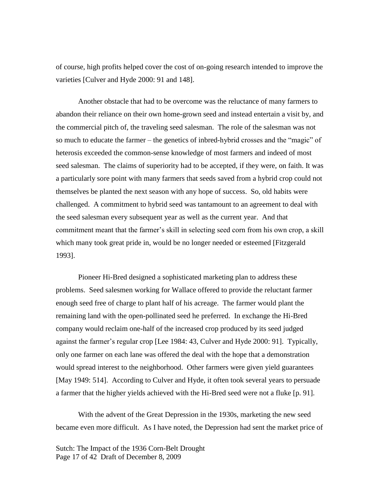of course, high profits helped cover the cost of on-going research intended to improve the varieties [Culver and Hyde 2000: 91 and 148].

Another obstacle that had to be overcome was the reluctance of many farmers to abandon their reliance on their own home-grown seed and instead entertain a visit by, and the commercial pitch of, the traveling seed salesman. The role of the salesman was not so much to educate the farmer – the genetics of inbred-hybrid crosses and the "magic" of heterosis exceeded the common-sense knowledge of most farmers and indeed of most seed salesman. The claims of superiority had to be accepted, if they were, on faith. It was a particularly sore point with many farmers that seeds saved from a hybrid crop could not themselves be planted the next season with any hope of success. So, old habits were challenged. A commitment to hybrid seed was tantamount to an agreement to deal with the seed salesman every subsequent year as well as the current year. And that commitment meant that the farmer's skill in selecting seed corn from his own crop, a skill which many took great pride in, would be no longer needed or esteemed [Fitzgerald 1993].

Pioneer Hi-Bred designed a sophisticated marketing plan to address these problems. Seed salesmen working for Wallace offered to provide the reluctant farmer enough seed free of charge to plant half of his acreage. The farmer would plant the remaining land with the open-pollinated seed he preferred. In exchange the Hi-Bred company would reclaim one-half of the increased crop produced by its seed judged against the farmer's regular crop [Lee 1984: 43, Culver and Hyde 2000: 91]. Typically, only one farmer on each lane was offered the deal with the hope that a demonstration would spread interest to the neighborhood. Other farmers were given yield guarantees [May 1949: 514]. According to Culver and Hyde, it often took several years to persuade a farmer that the higher yields achieved with the Hi-Bred seed were not a fluke [p. 91].

With the advent of the Great Depression in the 1930s, marketing the new seed became even more difficult. As I have noted, the Depression had sent the market price of

Sutch: The Impact of the 1936 Corn-Belt Drought Page 17 of 42 Draft of December 8, 2009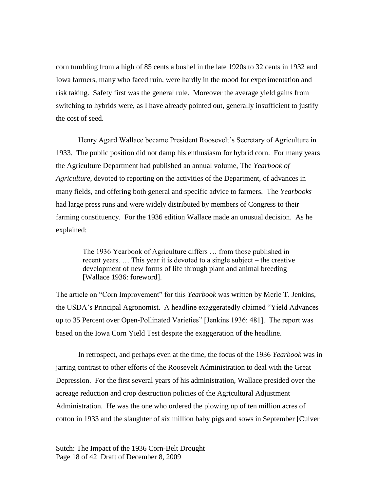corn tumbling from a high of 85 cents a bushel in the late 1920s to 32 cents in 1932 and Iowa farmers, many who faced ruin, were hardly in the mood for experimentation and risk taking. Safety first was the general rule. Moreover the average yield gains from switching to hybrids were, as I have already pointed out, generally insufficient to justify the cost of seed.

Henry Agard Wallace became President Roosevelt's Secretary of Agriculture in 1933. The public position did not damp his enthusiasm for hybrid corn. For many years the Agriculture Department had published an annual volume, The *Yearbook of Agriculture*, devoted to reporting on the activities of the Department, of advances in many fields, and offering both general and specific advice to farmers. The *Yearbooks* had large press runs and were widely distributed by members of Congress to their farming constituency. For the 1936 edition Wallace made an unusual decision. As he explained:

> The 1936 Yearbook of Agriculture differs … from those published in recent years. … This year it is devoted to a single subject – the creative development of new forms of life through plant and animal breeding [Wallace 1936: foreword].

The article on "Corn Improvement" for this *Yearbook* was written by Merle T. Jenkins, the USDA's Principal Agronomist. A headline exaggeratedly claimed "Yield Advances" up to 35 Percent over Open-Pollinated Varieties" [Jenkins 1936: 481]. The report was based on the Iowa Corn Yield Test despite the exaggeration of the headline.

In retrospect, and perhaps even at the time, the focus of the 1936 *Yearbook* was in jarring contrast to other efforts of the Roosevelt Administration to deal with the Great Depression. For the first several years of his administration, Wallace presided over the acreage reduction and crop destruction policies of the Agricultural Adjustment Administration. He was the one who ordered the plowing up of ten million acres of cotton in 1933 and the slaughter of six million baby pigs and sows in September [Culver

Sutch: The Impact of the 1936 Corn-Belt Drought Page 18 of 42 Draft of December 8, 2009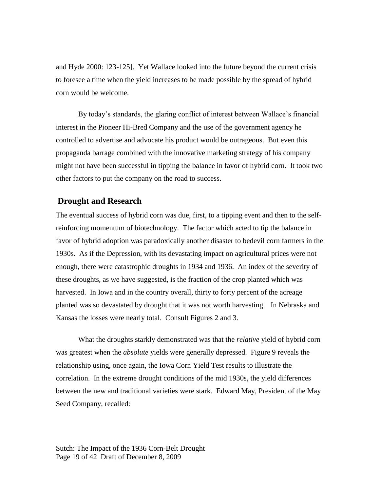and Hyde 2000: 123-125]. Yet Wallace looked into the future beyond the current crisis to foresee a time when the yield increases to be made possible by the spread of hybrid corn would be welcome.

By today's standards, the glaring conflict of interest between Wallace's financial interest in the Pioneer Hi-Bred Company and the use of the government agency he controlled to advertise and advocate his product would be outrageous. But even this propaganda barrage combined with the innovative marketing strategy of his company might not have been successful in tipping the balance in favor of hybrid corn. It took two other factors to put the company on the road to success.

#### **Drought and Research**

The eventual success of hybrid corn was due, first, to a tipping event and then to the selfreinforcing momentum of biotechnology. The factor which acted to tip the balance in favor of hybrid adoption was paradoxically another disaster to bedevil corn farmers in the 1930s. As if the Depression, with its devastating impact on agricultural prices were not enough, there were catastrophic droughts in 1934 and 1936. An index of the severity of these droughts, as we have suggested, is the fraction of the crop planted which was harvested. In Iowa and in the country overall, thirty to forty percent of the acreage planted was so devastated by drought that it was not worth harvesting. In Nebraska and Kansas the losses were nearly total. Consult Figures 2 and 3.

What the droughts starkly demonstrated was that the *relative* yield of hybrid corn was greatest when the *absolute* yields were generally depressed. Figure 9 reveals the relationship using, once again, the Iowa Corn Yield Test results to illustrate the correlation. In the extreme drought conditions of the mid 1930s, the yield differences between the new and traditional varieties were stark. Edward May, President of the May Seed Company, recalled:

Sutch: The Impact of the 1936 Corn-Belt Drought Page 19 of 42 Draft of December 8, 2009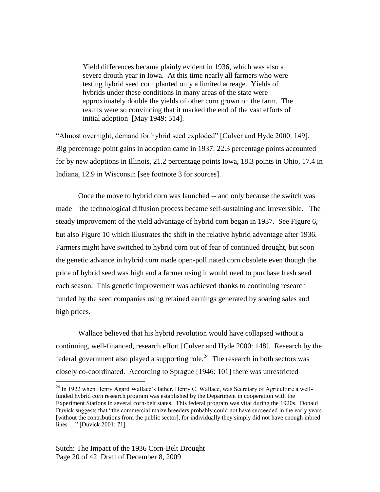Yield differences became plainly evident in 1936, which was also a severe drouth year in Iowa. At this time nearly all farmers who were testing hybrid seed corn planted only a limited acreage. Yields of hybrids under these conditions in many areas of the state were approximately double the yields of other corn grown on the farm. The results were so convincing that it marked the end of the vast efforts of initial adoption [May 1949: 514].

"Almost overnight, demand for hybrid seed exploded" [Culver and Hyde 2000: 149]. Big percentage point gains in adoption came in 1937: 22.3 percentage points accounted for by new adoptions in Illinois, 21.2 percentage points Iowa, 18.3 points in Ohio, 17.4 in Indiana, 12.9 in Wisconsin [see footnote 3 for sources].

Once the move to hybrid corn was launched -- and only because the switch was made – the technological diffusion process became self-sustaining and irreversible. The steady improvement of the yield advantage of hybrid corn began in 1937. See Figure 6, but also Figure 10 which illustrates the shift in the relative hybrid advantage after 1936. Farmers might have switched to hybrid corn out of fear of continued drought, but soon the genetic advance in hybrid corn made open-pollinated corn obsolete even though the price of hybrid seed was high and a farmer using it would need to purchase fresh seed each season. This genetic improvement was achieved thanks to continuing research funded by the seed companies using retained earnings generated by soaring sales and high prices.

Wallace believed that his hybrid revolution would have collapsed without a continuing, well-financed, research effort [Culver and Hyde 2000: 148]. Research by the federal government also played a supporting role.<sup>24</sup> The research in both sectors was closely co-coordinated. According to Sprague [1946: 101] there was unrestricted

<sup>&</sup>lt;sup>24</sup> In 1922 when Henry Agard Wallace's father, Henry C. Wallace, was Secretary of Agriculture a wellfunded hybrid corn research program was established by the Department in cooperation with the Experiment Stations in several corn-belt states. This federal program was vital during the 1920s. Donald Duvick suggests that "the commercial maize breeders probably could not have succeeded in the early years [without the contributions from the public sector], for individually they simply did not have enough inbred lines ..." [Duvick 2001: 71].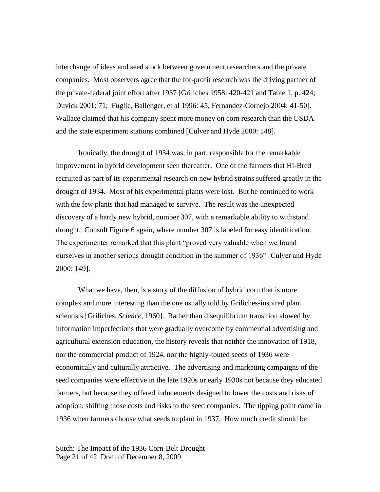interchange of ideas and seed stock between government researchers and the private companies. Most observers agree that the for-profit research was the driving partner of the private-federal joint effort after 1937 [Griliches 1958: 420-421 and Table 1, p. 424; Duvick 2001: 71; Fuglie, Ballenger, et al 1996: 45, Fernandez-Cornejo 2004: 41-50]. Wallace claimed that his company spent more money on corn research than the USDA and the state experiment stations combined [Culver and Hyde 2000: 148].

Ironically, the drought of 1934 was, in part, responsible for the remarkable improvement in hybrid development seen thereafter. One of the farmers that Hi-Bred recruited as part of its experimental research on new hybrid strains suffered greatly in the drought of 1934. Most of his experimental plants were lost. But he continued to work with the few plants that had managed to survive. The result was the unexpected discovery of a hardy new hybrid, number 307, with a remarkable ability to withstand drought. Consult Figure 6 again, where number 307 is labeled for easy identification. The experimenter remarked that this plant "proved very valuable when we found ourselves in another serious drought condition in the summer of 1936" [Culver and Hyde 2000: 149].

What we have, then, is a story of the diffusion of hybrid corn that is more complex and more interesting than the one usually told by Griliches-inspired plant scientists [Griliches, *Science*, 1960]. Rather than disequilibrium transition slowed by information imperfections that were gradually overcome by commercial advertising and agricultural extension education, the history reveals that neither the innovation of 1918, nor the commercial product of 1924, nor the highly-touted seeds of 1936 were economically and culturally attractive. The advertising and marketing campaigns of the seed companies were effective in the late 1920s or early 1930s not because they educated farmers, but because they offered inducements designed to lower the costs and risks of adoption, shifting those costs and risks to the seed companies. The tipping point came in 1936 when farmers choose what seeds to plant in 1937. How much credit should be

Sutch: The Impact of the 1936 Corn-Belt Drought Page 21 of 42 Draft of December 8, 2009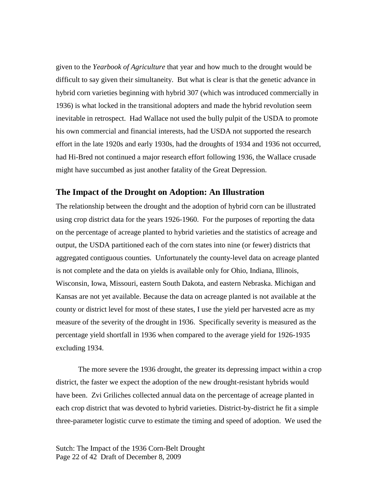given to the *Yearbook of Agriculture* that year and how much to the drought would be difficult to say given their simultaneity. But what is clear is that the genetic advance in hybrid corn varieties beginning with hybrid 307 (which was introduced commercially in 1936) is what locked in the transitional adopters and made the hybrid revolution seem inevitable in retrospect. Had Wallace not used the bully pulpit of the USDA to promote his own commercial and financial interests, had the USDA not supported the research effort in the late 1920s and early 1930s, had the droughts of 1934 and 1936 not occurred, had Hi-Bred not continued a major research effort following 1936, the Wallace crusade might have succumbed as just another fatality of the Great Depression.

#### **The Impact of the Drought on Adoption: An Illustration**

The relationship between the drought and the adoption of hybrid corn can be illustrated using crop district data for the years 1926-1960. For the purposes of reporting the data on the percentage of acreage planted to hybrid varieties and the statistics of acreage and output, the USDA partitioned each of the corn states into nine (or fewer) districts that aggregated contiguous counties. Unfortunately the county-level data on acreage planted is not complete and the data on yields is available only for Ohio, Indiana, Illinois, Wisconsin, Iowa, Missouri, eastern South Dakota, and eastern Nebraska. Michigan and Kansas are not yet available. Because the data on acreage planted is not available at the county or district level for most of these states, I use the yield per harvested acre as my measure of the severity of the drought in 1936. Specifically severity is measured as the percentage yield shortfall in 1936 when compared to the average yield for 1926-1935 excluding 1934.

The more severe the 1936 drought, the greater its depressing impact within a crop district, the faster we expect the adoption of the new drought-resistant hybrids would have been. Zvi Griliches collected annual data on the percentage of acreage planted in each crop district that was devoted to hybrid varieties. District-by-district he fit a simple three-parameter logistic curve to estimate the timing and speed of adoption. We used the

Sutch: The Impact of the 1936 Corn-Belt Drought Page 22 of 42 Draft of December 8, 2009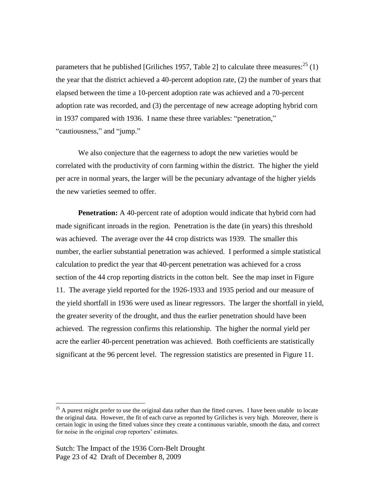parameters that he published [Griliches 1957, Table 2] to calculate three measures:  $^{25}$  (1) the year that the district achieved a 40-percent adoption rate, (2) the number of years that elapsed between the time a 10-percent adoption rate was achieved and a 70-percent adoption rate was recorded, and (3) the percentage of new acreage adopting hybrid corn in 1937 compared with 1936. I name these three variables: "penetration," "cautiousness," and "jump."

We also conjecture that the eagerness to adopt the new varieties would be correlated with the productivity of corn farming within the district. The higher the yield per acre in normal years, the larger will be the pecuniary advantage of the higher yields the new varieties seemed to offer.

**Penetration:** A 40-percent rate of adoption would indicate that hybrid corn had made significant inroads in the region. Penetration is the date (in years) this threshold was achieved. The average over the 44 crop districts was 1939. The smaller this number, the earlier substantial penetration was achieved. I performed a simple statistical calculation to predict the year that 40-percent penetration was achieved for a cross section of the 44 crop reporting districts in the cotton belt. See the map inset in Figure 11. The average yield reported for the 1926-1933 and 1935 period and our measure of the yield shortfall in 1936 were used as linear regressors. The larger the shortfall in yield, the greater severity of the drought, and thus the earlier penetration should have been achieved. The regression confirms this relationship. The higher the normal yield per acre the earlier 40-percent penetration was achieved. Both coefficients are statistically significant at the 96 percent level. The regression statistics are presented in Figure 11.

<sup>&</sup>lt;sup>25</sup> A purest might prefer to use the original data rather than the fitted curves. I have been unable to locate the original data. However, the fit of each curve as reported by Griliches is very high. Moreover, there is certain logic in using the fitted values since they create a continuous variable, smooth the data, and correct for noise in the original crop reporters' estimates.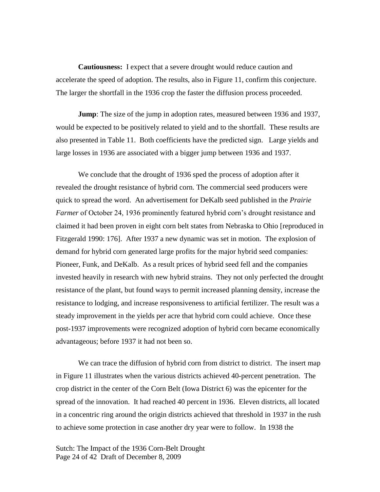**Cautiousness:** I expect that a severe drought would reduce caution and accelerate the speed of adoption. The results, also in Figure 11, confirm this conjecture. The larger the shortfall in the 1936 crop the faster the diffusion process proceeded.

**Jump**: The size of the jump in adoption rates, measured between 1936 and 1937, would be expected to be positively related to yield and to the shortfall. These results are also presented in Table 11. Both coefficients have the predicted sign. Large yields and large losses in 1936 are associated with a bigger jump between 1936 and 1937.

We conclude that the drought of 1936 sped the process of adoption after it revealed the drought resistance of hybrid corn. The commercial seed producers were quick to spread the word. An advertisement for DeKalb seed published in the *Prairie Farmer* of October 24, 1936 prominently featured hybrid corn's drought resistance and claimed it had been proven in eight corn belt states from Nebraska to Ohio [reproduced in Fitzgerald 1990: 176]. After 1937 a new dynamic was set in motion. The explosion of demand for hybrid corn generated large profits for the major hybrid seed companies: Pioneer, Funk, and DeKalb. As a result prices of hybrid seed fell and the companies invested heavily in research with new hybrid strains. They not only perfected the drought resistance of the plant, but found ways to permit increased planning density, increase the resistance to lodging, and increase responsiveness to artificial fertilizer. The result was a steady improvement in the yields per acre that hybrid corn could achieve. Once these post-1937 improvements were recognized adoption of hybrid corn became economically advantageous; before 1937 it had not been so.

We can trace the diffusion of hybrid corn from district to district. The insert map in Figure 11 illustrates when the various districts achieved 40-percent penetration. The crop district in the center of the Corn Belt (Iowa District 6) was the epicenter for the spread of the innovation. It had reached 40 percent in 1936. Eleven districts, all located in a concentric ring around the origin districts achieved that threshold in 1937 in the rush to achieve some protection in case another dry year were to follow. In 1938 the

Sutch: The Impact of the 1936 Corn-Belt Drought Page 24 of 42 Draft of December 8, 2009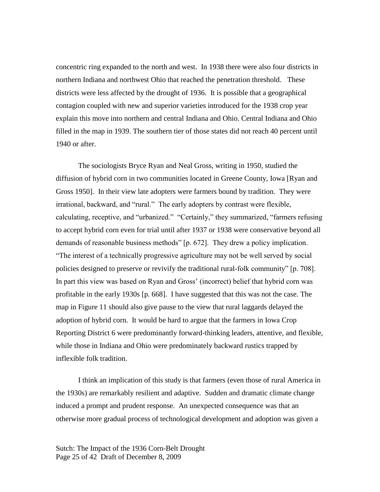concentric ring expanded to the north and west. In 1938 there were also four districts in northern Indiana and northwest Ohio that reached the penetration threshold. These districts were less affected by the drought of 1936. It is possible that a geographical contagion coupled with new and superior varieties introduced for the 1938 crop year explain this move into northern and central Indiana and Ohio. Central Indiana and Ohio filled in the map in 1939. The southern tier of those states did not reach 40 percent until 1940 or after.

The sociologists Bryce Ryan and Neal Gross, writing in 1950, studied the diffusion of hybrid corn in two communities located in Greene County, Iowa [Ryan and Gross 1950]. In their view late adopters were farmers bound by tradition. They were irrational, backward, and "rural." The early adopters by contrast were flexible, calculating, receptive, and "urbanized." "Certainly," they summarized, "farmers refusing to accept hybrid corn even for trial until after 1937 or 1938 were conservative beyond all demands of reasonable business methods" [p. 672]. They drew a policy implication. ―The interest of a technically progressive agriculture may not be well served by social policies designed to preserve or revivify the traditional rural-folk community" [p. 708]. In part this view was based on Ryan and Gross' (incorrect) belief that hybrid corn was profitable in the early 1930s [p. 668]. I have suggested that this was not the case. The map in Figure 11 should also give pause to the view that rural laggards delayed the adoption of hybrid corn. It would be hard to argue that the farmers in Iowa Crop Reporting District 6 were predominantly forward-thinking leaders, attentive, and flexible, while those in Indiana and Ohio were predominately backward rustics trapped by inflexible folk tradition.

I think an implication of this study is that farmers (even those of rural America in the 1930s) are remarkably resilient and adaptive. Sudden and dramatic climate change induced a prompt and prudent response. An unexpected consequence was that an otherwise more gradual process of technological development and adoption was given a

Sutch: The Impact of the 1936 Corn-Belt Drought Page 25 of 42 Draft of December 8, 2009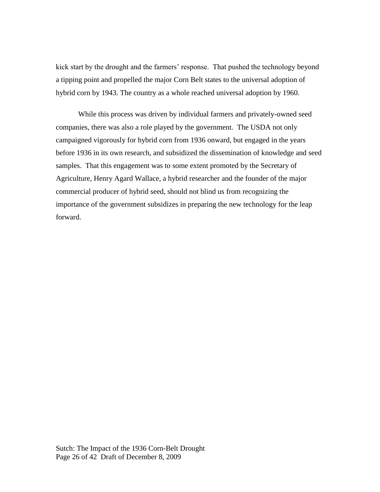kick start by the drought and the farmers' response. That pushed the technology beyond a tipping point and propelled the major Corn Belt states to the universal adoption of hybrid corn by 1943. The country as a whole reached universal adoption by 1960.

While this process was driven by individual farmers and privately-owned seed companies, there was also a role played by the government. The USDA not only campaigned vigorously for hybrid corn from 1936 onward, but engaged in the years before 1936 in its own research, and subsidized the dissemination of knowledge and seed samples. That this engagement was to some extent promoted by the Secretary of Agriculture, Henry Agard Wallace, a hybrid researcher and the founder of the major commercial producer of hybrid seed, should not blind us from recognizing the importance of the government subsidizes in preparing the new technology for the leap forward.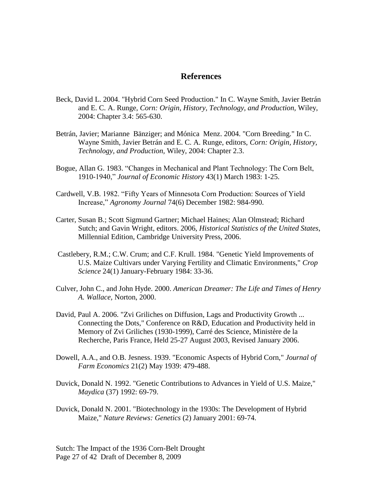### **References**

- Beck, David L. 2004. "Hybrid Corn Seed Production." In C. Wayne Smith, Javier Betrán and E. C. A. Runge, *Corn: Origin, History, Technology, and Production,* Wiley, 2004: Chapter 3.4: 565-630.
- Betrán, Javier; Marianne Bänziger; and Mónica Menz. 2004. "Corn Breeding." In C. Wayne Smith, Javier Betrán and E. C. A. Runge, editors, *Corn: Origin, History, Technology, and Production,* Wiley, 2004: Chapter 2.3.
- Bogue, Allan G. 1983. "Changes in Mechanical and Plant Technology: The Corn Belt, 1910-1940,‖ *Journal of Economic History* 43(1) March 1983: 1-25.
- Cardwell, V.B. 1982. "Fifty Years of Minnesota Corn Production: Sources of Yield Increase,‖ *Agronomy Journal* 74(6) December 1982: 984-990.
- Carter, Susan B.; Scott Sigmund Gartner; Michael Haines; Alan Olmstead; Richard Sutch; and Gavin Wright, editors. 2006, *Historical Statistics of the United States*, Millennial Edition, Cambridge University Press, 2006.
- Castlebery, R.M.; C.W. Crum; and C.F. Krull. 1984. "Genetic Yield Improvements of U.S. Maize Cultivars under Varying Fertility and Climatic Environments," *Crop Science* 24(1) January-February 1984: 33-36.
- Culver, John C., and John Hyde. 2000. *American Dreamer: The Life and Times of Henry A. Wallace,* Norton, 2000.
- David, Paul A. 2006. "Zvi Griliches on Diffusion, Lags and Productivity Growth ... Connecting the Dots," Conference on R&D, Education and Productivity held in Memory of Zvi Griliches (1930-1999), Carré des Science, Ministère de la Recherche, Paris France, Held 25-27 August 2003, Revised January 2006.
- Dowell, A.A., and O.B. Jesness. 1939. "Economic Aspects of Hybrid Corn," *Journal of Farm Economics* 21(2) May 1939: 479-488.
- Duvick, Donald N. 1992. "Genetic Contributions to Advances in Yield of U.S. Maize," *Maydica* (37) 1992: 69-79.
- Duvick, Donald N. 2001. "Biotechnology in the 1930s: The Development of Hybrid Maize," *Nature Reviews: Genetics* (2) January 2001: 69-74.

Sutch: The Impact of the 1936 Corn-Belt Drought Page 27 of 42 Draft of December 8, 2009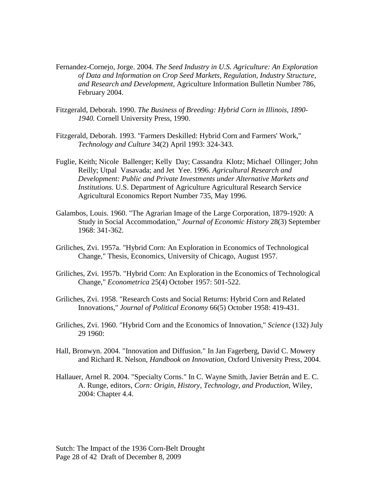- Fernandez-Cornejo, Jorge. 2004. *The Seed Industry in U.S. Agriculture: An Exploration of Data and Information on Crop Seed Markets, Regulation, Industry Structure, and Research and Development,* Agriculture Information Bulletin Number 786, February 2004.
- Fitzgerald, Deborah. 1990. *The Business of Breeding: Hybrid Corn in Illinois, 1890- 1940.* Cornell University Press, 1990.
- Fitzgerald, Deborah. 1993. "Farmers Deskilled: Hybrid Corn and Farmers' Work," *Technology and Culture* 34(2) April 1993: 324-343.
- Fuglie, Keith; Nicole Ballenger; Kelly Day; Cassandra Klotz; Michael Ollinger; John Reilly; Utpal Vasavada; and Jet Yee. 1996. *Agricultural Research and Development: Public and Private Investments under Alternative Markets and Institutions*. U.S. Department of Agriculture Agricultural Research Service Agricultural Economics Report Number 735, May 1996.
- Galambos, Louis. 1960. "The Agrarian Image of the Large Corporation, 1879-1920: A Study in Social Accommodation," *Journal of Economic History* 28(3) September 1968: 341-362.
- Griliches, Zvi. 1957a. "Hybrid Corn: An Exploration in Economics of Technological Change," Thesis, Economics, University of Chicago, August 1957.
- Griliches, Zvi. 1957b. "Hybrid Corn: An Exploration in the Economics of Technological Change," *Econometrica* 25(4) October 1957: 501-522.
- Griliches, Zvi. 1958. "Research Costs and Social Returns: Hybrid Corn and Related Innovations," *Journal of Political Economy* 66(5) October 1958: 419-431.
- Griliches, Zvi. 1960. "Hybrid Corn and the Economics of Innovation," *Science* (132) July 29 1960:
- Hall, Bronwyn. 2004. "Innovation and Diffusion." In Jan Fagerberg, David C. Mowery and Richard R. Nelson, *Handbook on Innovation,* Oxford University Press, 2004.
- Hallauer, Arnel R. 2004. "Specialty Corns." In C. Wayne Smith, Javier Betrán and E. C. A. Runge, editors, *Corn: Origin, History, Technology, and Production,* Wiley, 2004: Chapter 4.4.

Sutch: The Impact of the 1936 Corn-Belt Drought Page 28 of 42 Draft of December 8, 2009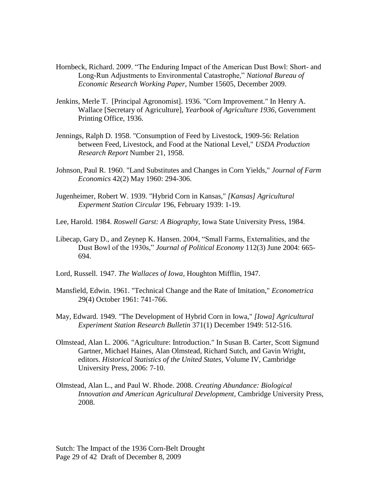- Hornbeck, Richard. 2009. "The Enduring Impact of the American Dust Bowl: Short- and Long-Run Adjustments to Environmental Catastrophe," National Bureau of *Economic Research Working Paper*, Number 15605, December 2009.
- Jenkins, Merle T. [Principal Agronomist]. 1936. "Corn Improvement." In Henry A. Wallace [Secretary of Agriculture], *Yearbook of Agriculture 1936,* Government Printing Office, 1936.
- Jennings, Ralph D. 1958. "Consumption of Feed by Livestock, 1909-56: Relation between Feed, Livestock, and Food at the National Level," *USDA Production Research Report* Number 21, 1958.
- Johnson, Paul R. 1960. "Land Substitutes and Changes in Corn Yields," *Journal of Farm Economics* 42(2) May 1960: 294-306.
- Jugenheimer, Robert W. 1939. "Hybrid Corn in Kansas," *[Kansas] Agricultural Experment Station Circular* 196, February 1939: 1-19.
- Lee, Harold. 1984. *Roswell Garst: A Biography*, Iowa State University Press, 1984.
- Libecap, Gary D., and Zeynep K. Hansen. 2004, "Small Farms, Externalities, and the Dust Bowl of the 1930s," *Journal of Political Economy* 112(3) June 2004: 665-694.
- Lord, Russell. 1947. *The Wallaces of Iowa,* Houghton Mifflin, 1947.
- Mansfield, Edwin. 1961. "Technical Change and the Rate of Imitation," *Econometrica* 29(4) October 1961: 741-766.
- May, Edward. 1949. "The Development of Hybrid Corn in Iowa," *[Iowa] Agricultural Experiment Station Research Bulletin* 371(1) December 1949: 512-516.
- Olmstead, Alan L. 2006. "Agriculture: Introduction." In Susan B. Carter, Scott Sigmund Gartner, Michael Haines, Alan Olmstead, Richard Sutch, and Gavin Wright, editors. *Historical Statistics of the United States,* Volume IV, Cambridge University Press, 2006: 7-10.
- Olmstead, Alan L., and Paul W. Rhode. 2008. *Creating Abundance: Biological Innovation and American Agricultural Development,* Cambridge University Press, 2008.

Sutch: The Impact of the 1936 Corn-Belt Drought Page 29 of 42 Draft of December 8, 2009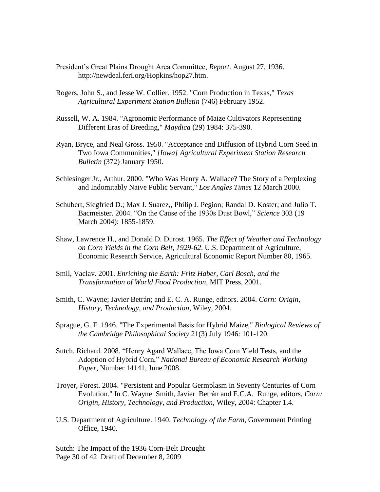- President's Great Plains Drought Area Committee, *Report*. August 27, 1936. http://newdeal.feri.org/Hopkins/hop27.htm.
- Rogers, John S., and Jesse W. Collier. 1952. "Corn Production in Texas," *Texas Agricultural Experiment Station Bulletin* (746) February 1952.
- Russell, W. A. 1984. "Agronomic Performance of Maize Cultivators Representing Different Eras of Breeding," *Maydica* (29) 1984: 375-390.
- Ryan, Bryce, and Neal Gross. 1950. "Acceptance and Diffusion of Hybrid Corn Seed in Two Iowa Communities," *[Iowa] Agricultural Experiment Station Research Bulletin* (372) January 1950.
- Schlesinger Jr., Arthur. 2000. "Who Was Henry A. Wallace? The Story of a Perplexing and Indomitably Naive Public Servant," *Los Angles Times* 12 March 2000.
- Schubert, Siegfried D.; Max J. Suarez,, Philip J. Pegion; Randal D. Koster; and Julio T. Bacmeister. 2004. "On the Cause of the 1930s Dust Bowl," Science 303 (19) March 2004): 1855-1859.
- Shaw, Lawrence H., and Donald D. Durost. 1965. *The Effect of Weather and Technology on Corn Yields in the Corn Belt, 1929-62*. U.S. Department of Agriculture, Economic Research Service, Agricultural Economic Report Number 80, 1965.
- Smil, Vaclav. 2001. *Enriching the Earth: Fritz Haber, Carl Bosch, and the Transformation of World Food Production,* MIT Press, 2001.
- Smith, C. Wayne; Javier Betrán; and E. C. A. Runge, editors. 2004. *Corn: Origin, History, Technology, and Production*, Wiley, 2004.
- Sprague, G. F. 1946. "The Experimental Basis for Hybrid Maize," *Biological Reviews of the Cambridge Philosophical Society* 21(3) July 1946: 101-120.
- Sutch, Richard. 2008. "Henry Agard Wallace, The Iowa Corn Yield Tests, and the Adoption of Hybrid Corn," *National Bureau of Economic Research Working Paper*, Number 14141, June 2008.
- Troyer, Forest. 2004. "Persistent and Popular Germplasm in Seventy Centuries of Corn Evolution." In C. Wayne Smith, Javier Betrán and E.C.A. Runge, editors, *Corn: Origin, History, Technology, and Production,* Wiley, 2004: Chapter 1.4.
- U.S. Department of Agriculture. 1940. *Technology of the Farm,* Government Printing Office, 1940.

Sutch: The Impact of the 1936 Corn-Belt Drought Page 30 of 42 Draft of December 8, 2009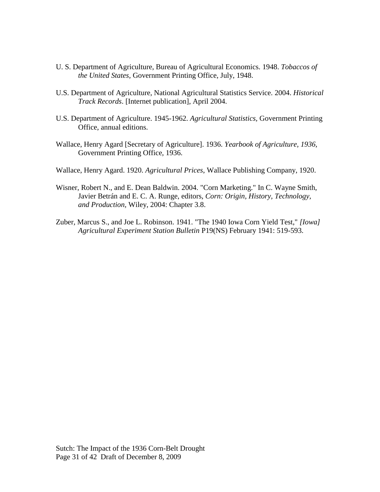- U. S. Department of Agriculture, Bureau of Agricultural Economics. 1948. *Tobaccos of the United States,* Government Printing Office, July, 1948.
- U.S. Department of Agriculture, National Agricultural Statistics Service. 2004. *Historical Track Records*. [Internet publication], April 2004.
- U.S. Department of Agriculture. 1945-1962. *Agricultural Statistics,* Government Printing Office, annual editions.
- Wallace, Henry Agard [Secretary of Agriculture]. 1936. *Yearbook of Agriculture, 1936,*  Government Printing Office, 1936.
- Wallace, Henry Agard. 1920. *Agricultural Prices*, Wallace Publishing Company, 1920.
- Wisner, Robert N., and E. Dean Baldwin. 2004. "Corn Marketing." In C. Wayne Smith, Javier Betrán and E. C. A. Runge, editors, *Corn: Origin, History, Technology, and Production,* Wiley, 2004: Chapter 3.8.
- Zuber, Marcus S., and Joe L. Robinson. 1941. "The 1940 Iowa Corn Yield Test," *[Iowa] Agricultural Experiment Station Bulletin* P19(NS) February 1941: 519-593.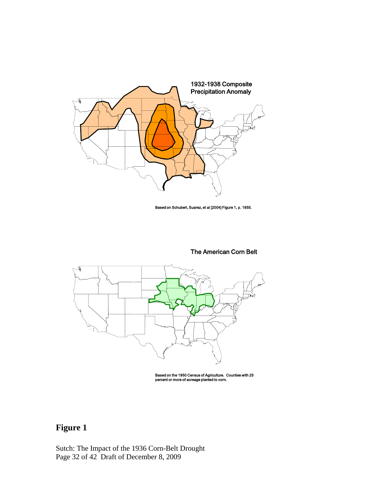

Based on Schubert, Suarez, et al [2004] Figure 1, p. 1855.

#### The American Corn Belt



Based on the 1950 Census of Agriculture. Counties with 25 percent or more of acreage planted to corn.

# **Figure 1**

Sutch: The Impact of the 1936 Corn-Belt Drought Page 32 of 42 Draft of December 8, 2009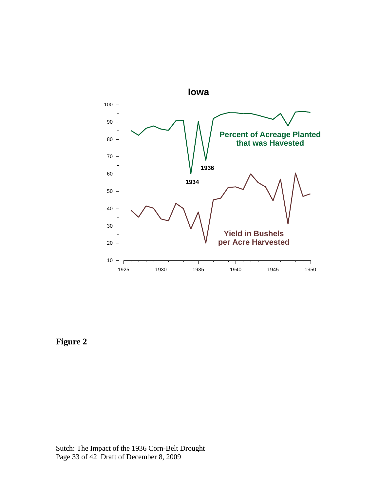

**Figure 2**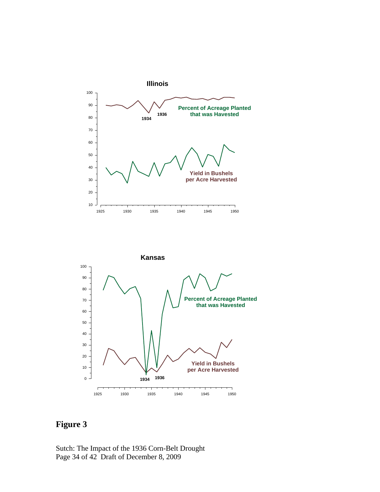



## **Figure 3**

Sutch: The Impact of the 1936 Corn-Belt Drought Page 34 of 42 Draft of December 8, 2009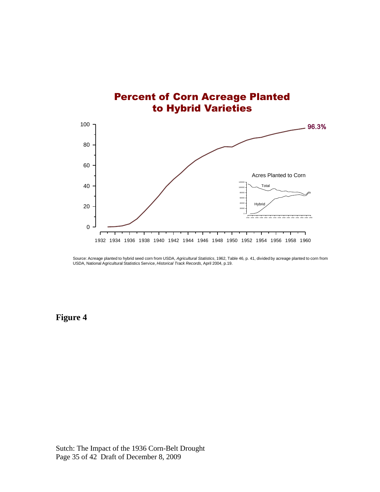

Source: Acreage planted to hybrid seed corn from USDA, *Agricultural Statistics*, 1962, Table 46, p. 41, divided by acreage planted to corn from<br>USDA, National Agricultural Statistics Service, *Historical Track Records*, A

**Figure 4**

Sutch: The Impact of the 1936 Corn-Belt Drought Page 35 of 42 Draft of December 8, 2009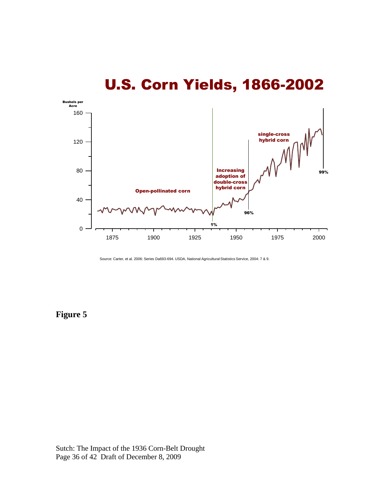

# U.S. Corn Yields, 1866-2002

Source: Carter, et al. 2006: Series Da693-694. USDA, National Agricultural Statistics Service, 2004: 7 & 9.

### **Figure 5**

Sutch: The Impact of the 1936 Corn-Belt Drought Page 36 of 42 Draft of December 8, 2009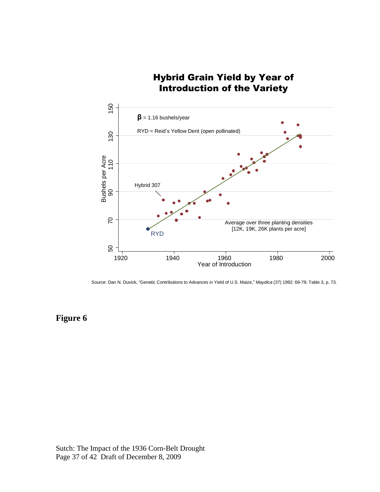### Hybrid Grain Yield by Year of Introduction of the Variety



Source: Dan N. Duvick, "Genetic Contributions to Advances in Yield of U.S. Maize," *Maydica* (37) 1992: 69-79; Table 3, p. 73.

### **Figure 6**

Sutch: The Impact of the 1936 Corn-Belt Drought Page 37 of 42 Draft of December 8, 2009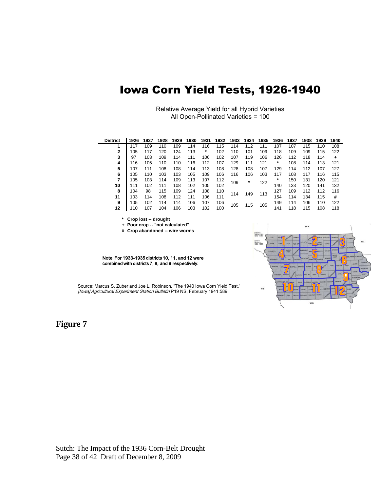# Iowa Corn Yield Tests, 1926-1940

Relative Average Yield for all Hybrid Varieties All Open-Pollinated Varieties = 100

| <b>District</b> | 1926 | 1927 | 1928 | 1929 | 1930 | 1931 | 1932 | 1933 | 1934    | 1935 | 1936 | 1937 | 1938 | 1939 | 1940 |
|-----------------|------|------|------|------|------|------|------|------|---------|------|------|------|------|------|------|
| 1               | 117  | 109  | 110  | 109  | 114  | 116  | 115  | 114  | 112     | 111  | 107  | 107  | 115  | 110  | 108  |
| $\mathbf{2}$    | 105  | 117  | 120  | 124  | 113  | *    | 102  | 110  | 101     | 109  | 118  | 109  | 109  | 115  | 122  |
| 3               | 97   | 103  | 109  | 114  | 111  | 106  | 102  | 107  | 119     | 106  | 126  | 112  | 118  | 114  | ٠    |
| 4               | 116  | 105  | 110  | 110  | 116  | 112  | 107  | 129  | 111     | 121  | *    | 108  | 114  | 113  | 121  |
| 5               | 107  | 111  | 108  | 108  | 114  | 113  | 108  | 128  | 108     | 107  | 129  | 114  | 112  | 107  | 127  |
| 6               | 105  | 110  | 103  | 103  | 105  | 109  | 106  | 116  | 106     | 103  | 117  | 108  | 117  | 116  | 115  |
| 7               | 105  | 103  | 114  | 109  | 113  | 107  | 112  | 109  | $\star$ | 122  | *    | 150  | 131  | 120  | 121  |
| 10              | 111  | 102  | 111  | 108  | 102  | 105  | 102  |      |         |      | 140  | 133  | 120  | 141  | 132  |
| 8               | 104  | 98   | 115  | 109  | 124  | 108  | 110  | 114  | 149     | 113  | 127  | 109  | 112  | 112  | 116  |
| 11              | 103  | 114  | 108  | 112  | 111  | 106  | 111  |      |         |      | 154  | 114  | 134  | 115  | #    |
| 9               | 105  | 102  | 114  | 114  | 106  | 107  | 106  | 105  | 115     | 105  | 149  | 114  | 106  | 110  | 122  |
| 12              | 110  | 107  | 104  | 106  | 103  | 102  | 100  |      |         |      | 141  | 118  | 115  | 108  | 118  |

**\* Crop lost -- drought**

**+ Poor crop -- "not calculated"**

**# Crop abandoned -- wire worms**

Note: For 1933-1935 districts 10, 11, and 12 were combined with districts 7, 8, and 9 respectively.

Source: Marcus S. Zuber and Joe L. Robinson, "The 1940 Iowa Corn Yield Test," [Iowa] Agricultural Experiment Station Bulletin P19 NS, February 1941:589.

**Figure 7**



Sutch: The Impact of the 1936 Corn-Belt Drought Page 38 of 42 Draft of December 8, 2009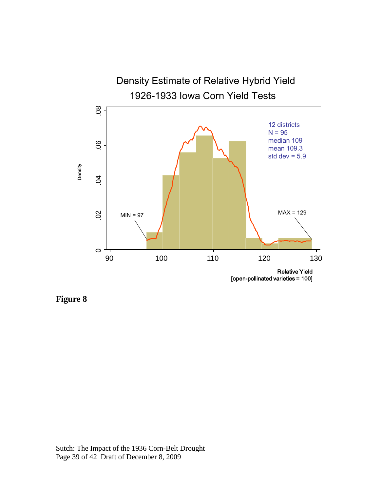

**Figure 8**

Sutch: The Impact of the 1936 Corn-Belt Drought Page 39 of 42 Draft of December 8, 2009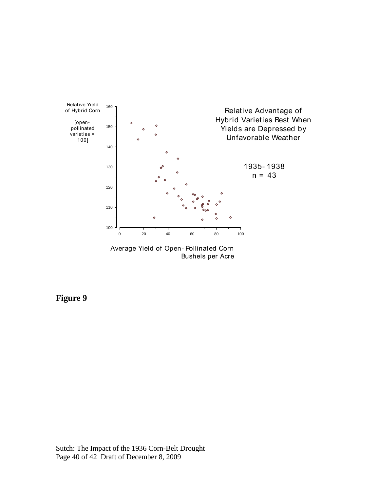

Bushels per Acre

### **Figure 9**

Sutch: The Impact of the 1936 Corn-Belt Drought Page 40 of 42 Draft of December 8, 2009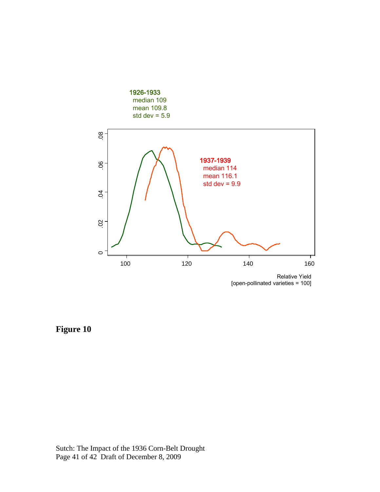

Relative Yield [open-pollinated varieties = 100]

**Figure 10**